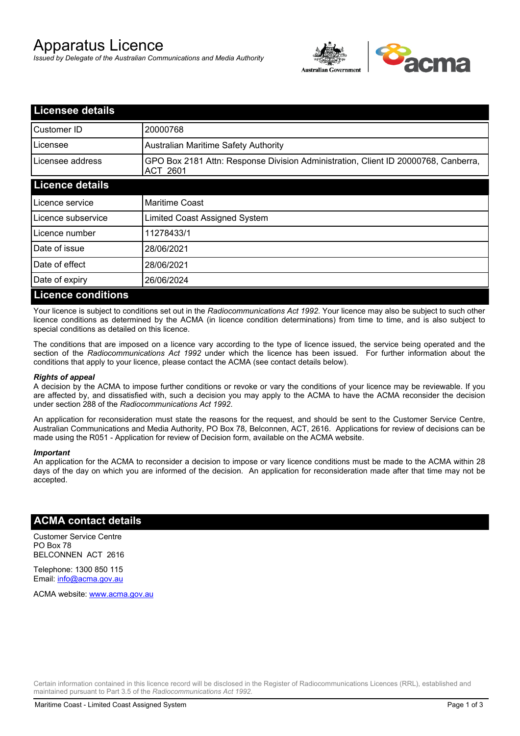# Apparatus Licence

*Issued by Delegate of the Australian Communications and Media Authority*



| <b>Licensee details</b>   |                                                                                                       |
|---------------------------|-------------------------------------------------------------------------------------------------------|
| Customer ID               | 20000768                                                                                              |
| Licensee                  | <b>Australian Maritime Safety Authority</b>                                                           |
| Licensee address          | GPO Box 2181 Attn: Response Division Administration, Client ID 20000768, Canberra,<br><b>ACT 2601</b> |
| <b>Licence details</b>    |                                                                                                       |
| Licence service           | <b>Maritime Coast</b>                                                                                 |
| Licence subservice        | Limited Coast Assigned System                                                                         |
| Licence number            | 11278433/1                                                                                            |
| Date of issue             | 28/06/2021                                                                                            |
| Date of effect            | 28/06/2021                                                                                            |
| Date of expiry            | 26/06/2024                                                                                            |
| <b>Licence conditions</b> |                                                                                                       |

Your licence is subject to conditions set out in the *Radiocommunications Act 1992*. Your licence may also be subject to such other licence conditions as determined by the ACMA (in licence condition determinations) from time to time, and is also subject to special conditions as detailed on this licence.

The conditions that are imposed on a licence vary according to the type of licence issued, the service being operated and the section of the *Radiocommunications Act 1992* under which the licence has been issued. For further information about the conditions that apply to your licence, please contact the ACMA (see contact details below).

#### *Rights of appeal*

A decision by the ACMA to impose further conditions or revoke or vary the conditions of your licence may be reviewable. If you are affected by, and dissatisfied with, such a decision you may apply to the ACMA to have the ACMA reconsider the decision under section 288 of the *Radiocommunications Act 1992*.

An application for reconsideration must state the reasons for the request, and should be sent to the Customer Service Centre, Australian Communications and Media Authority, PO Box 78, Belconnen, ACT, 2616. Applications for review of decisions can be made using the R051 - Application for review of Decision form, available on the ACMA website.

#### *Important*

An application for the ACMA to reconsider a decision to impose or vary licence conditions must be made to the ACMA within 28 days of the day on which you are informed of the decision. An application for reconsideration made after that time may not be accepted.

### **ACMA contact details**

Customer Service Centre PO Box 78 BELCONNEN ACT 2616

Telephone: 1300 850 115 Email: info@acma.gov.au

ACMA website: www.acma.gov.au

Certain information contained in this licence record will be disclosed in the Register of Radiocommunications Licences (RRL), established and maintained pursuant to Part 3.5 of the *Radiocommunications Act 1992.*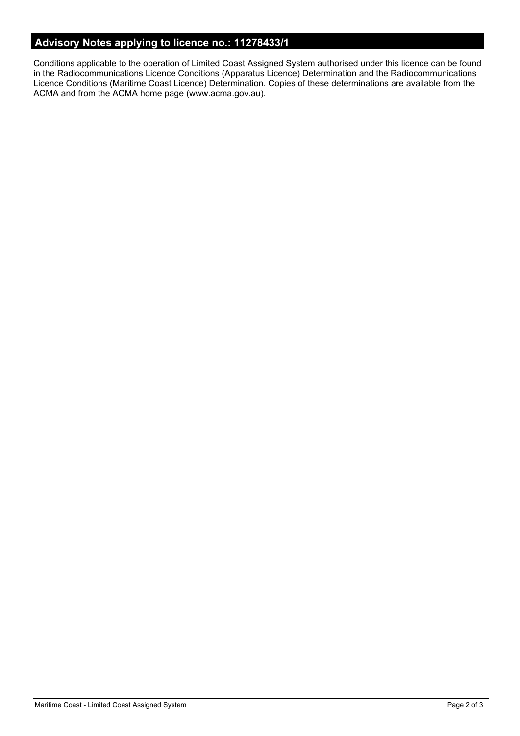# **Advisory Notes applying to licence no.: 11278433/1**

Conditions applicable to the operation of Limited Coast Assigned System authorised under this licence can be found in the Radiocommunications Licence Conditions (Apparatus Licence) Determination and the Radiocommunications Licence Conditions (Maritime Coast Licence) Determination. Copies of these determinations are available from the ACMA and from the ACMA home page (www.acma.gov.au).